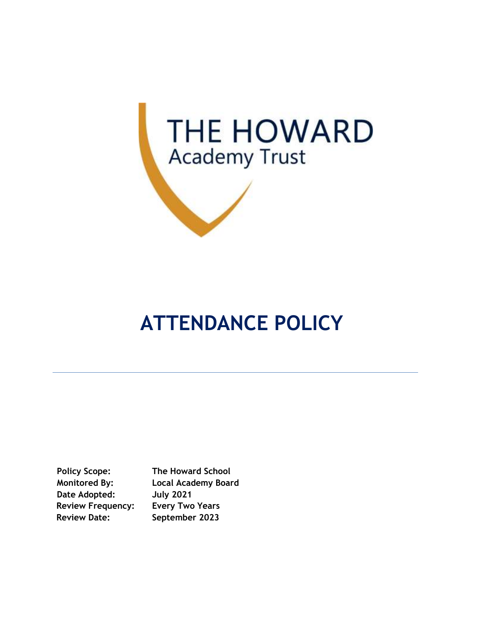

# **ATTENDANCE POLICY**

**Date Adopted: July 2021 Review Frequency: Every Two Years Review Date: September 2023**

**Policy Scope: The Howard School Monitored By: Local Academy Board**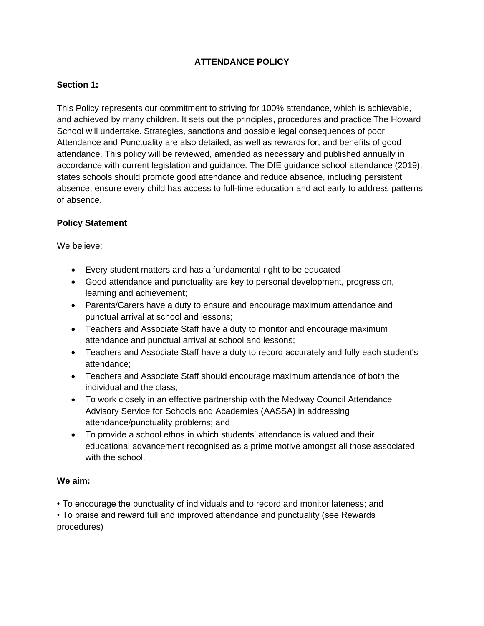# **ATTENDANCE POLICY**

# **Section 1:**

This Policy represents our commitment to striving for 100% attendance, which is achievable, and achieved by many children. It sets out the principles, procedures and practice The Howard School will undertake. Strategies, sanctions and possible legal consequences of poor Attendance and Punctuality are also detailed, as well as rewards for, and benefits of good attendance. This policy will be reviewed, amended as necessary and published annually in accordance with current legislation and guidance. The DfE guidance school attendance (2019), states schools should promote good attendance and reduce absence, including persistent absence, ensure every child has access to full-time education and act early to address patterns of absence.

#### **Policy Statement**

We believe:

- Every student matters and has a fundamental right to be educated
- Good attendance and punctuality are key to personal development, progression, learning and achievement;
- Parents/Carers have a duty to ensure and encourage maximum attendance and punctual arrival at school and lessons;
- Teachers and Associate Staff have a duty to monitor and encourage maximum attendance and punctual arrival at school and lessons;
- Teachers and Associate Staff have a duty to record accurately and fully each student's attendance;
- Teachers and Associate Staff should encourage maximum attendance of both the individual and the class;
- To work closely in an effective partnership with the Medway Council Attendance Advisory Service for Schools and Academies (AASSA) in addressing attendance/punctuality problems; and
- To provide a school ethos in which students' attendance is valued and their educational advancement recognised as a prime motive amongst all those associated with the school.

# **We aim:**

• To encourage the punctuality of individuals and to record and monitor lateness; and

• To praise and reward full and improved attendance and punctuality (see Rewards procedures)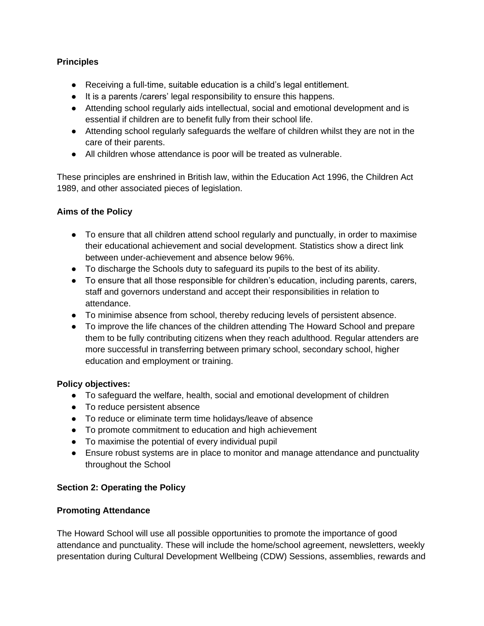## **Principles**

- Receiving a full-time, suitable education is a child's legal entitlement.
- It is a parents /carers' legal responsibility to ensure this happens.
- Attending school regularly aids intellectual, social and emotional development and is essential if children are to benefit fully from their school life.
- Attending school regularly safeguards the welfare of children whilst they are not in the care of their parents.
- All children whose attendance is poor will be treated as vulnerable.

These principles are enshrined in British law, within the Education Act 1996, the Children Act 1989, and other associated pieces of legislation.

#### **Aims of the Policy**

- To ensure that all children attend school regularly and punctually, in order to maximise their educational achievement and social development. Statistics show a direct link between under-achievement and absence below 96%.
- To discharge the Schools duty to safeguard its pupils to the best of its ability.
- To ensure that all those responsible for children's education, including parents, carers, staff and governors understand and accept their responsibilities in relation to attendance.
- To minimise absence from school, thereby reducing levels of persistent absence.
- To improve the life chances of the children attending The Howard School and prepare them to be fully contributing citizens when they reach adulthood. Regular attenders are more successful in transferring between primary school, secondary school, higher education and employment or training.

#### **Policy objectives:**

- To safeguard the welfare, health, social and emotional development of children
- To reduce persistent absence
- To reduce or eliminate term time holidays/leave of absence
- To promote commitment to education and high achievement
- To maximise the potential of every individual pupil
- Ensure robust systems are in place to monitor and manage attendance and punctuality throughout the School

#### **Section 2: Operating the Policy**

#### **Promoting Attendance**

The Howard School will use all possible opportunities to promote the importance of good attendance and punctuality. These will include the home/school agreement, newsletters, weekly presentation during Cultural Development Wellbeing (CDW) Sessions, assemblies, rewards and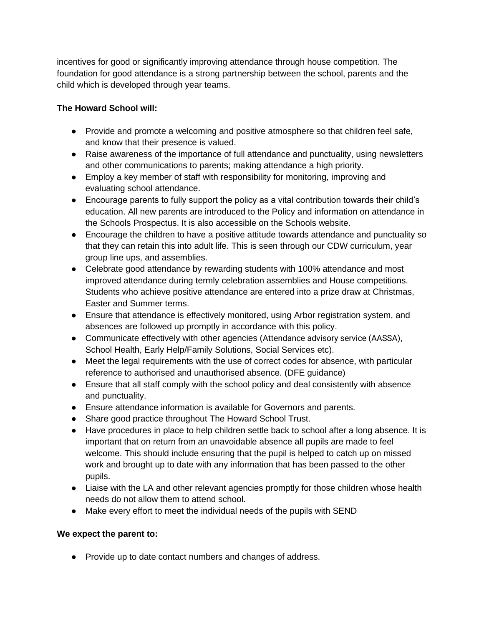incentives for good or significantly improving attendance through house competition. The foundation for good attendance is a strong partnership between the school, parents and the child which is developed through year teams.

# **The Howard School will:**

- Provide and promote a welcoming and positive atmosphere so that children feel safe, and know that their presence is valued.
- Raise awareness of the importance of full attendance and punctuality, using newsletters and other communications to parents; making attendance a high priority.
- Employ a key member of staff with responsibility for monitoring, improving and evaluating school attendance.
- Encourage parents to fully support the policy as a vital contribution towards their child's education. All new parents are introduced to the Policy and information on attendance in the Schools Prospectus. It is also accessible on the Schools website.
- Encourage the children to have a positive attitude towards attendance and punctuality so that they can retain this into adult life. This is seen through our CDW curriculum, year group line ups, and assemblies.
- Celebrate good attendance by rewarding students with 100% attendance and most improved attendance during termly celebration assemblies and House competitions. Students who achieve positive attendance are entered into a prize draw at Christmas, Easter and Summer terms.
- Ensure that attendance is effectively monitored, using Arbor registration system, and absences are followed up promptly in accordance with this policy.
- Communicate effectively with other agencies (Attendance advisory service (AASSA), School Health, Early Help/Family Solutions, Social Services etc).
- Meet the legal requirements with the use of correct codes for absence, with particular reference to authorised and unauthorised absence. (DFE guidance)
- Ensure that all staff comply with the school policy and deal consistently with absence and punctuality.
- Ensure attendance information is available for Governors and parents.
- Share good practice throughout The Howard School Trust.
- Have procedures in place to help children settle back to school after a long absence. It is important that on return from an unavoidable absence all pupils are made to feel welcome. This should include ensuring that the pupil is helped to catch up on missed work and brought up to date with any information that has been passed to the other pupils.
- Liaise with the LA and other relevant agencies promptly for those children whose health needs do not allow them to attend school.
- Make every effort to meet the individual needs of the pupils with SEND

# **We expect the parent to:**

● Provide up to date contact numbers and changes of address.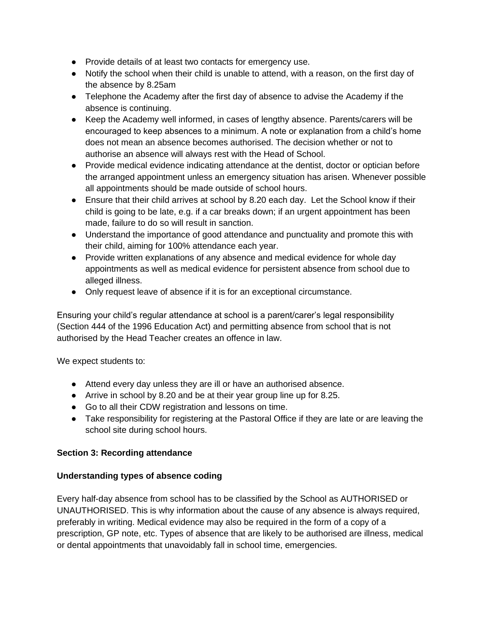- Provide details of at least two contacts for emergency use.
- Notify the school when their child is unable to attend, with a reason, on the first day of the absence by 8.25am
- Telephone the Academy after the first day of absence to advise the Academy if the absence is continuing.
- Keep the Academy well informed, in cases of lengthy absence. Parents/carers will be encouraged to keep absences to a minimum. A note or explanation from a child's home does not mean an absence becomes authorised. The decision whether or not to authorise an absence will always rest with the Head of School.
- Provide medical evidence indicating attendance at the dentist, doctor or optician before the arranged appointment unless an emergency situation has arisen. Whenever possible all appointments should be made outside of school hours.
- Ensure that their child arrives at school by 8.20 each day. Let the School know if their child is going to be late, e.g. if a car breaks down; if an urgent appointment has been made, failure to do so will result in sanction.
- Understand the importance of good attendance and punctuality and promote this with their child, aiming for 100% attendance each year.
- Provide written explanations of any absence and medical evidence for whole day appointments as well as medical evidence for persistent absence from school due to alleged illness.
- Only request leave of absence if it is for an exceptional circumstance.

Ensuring your child's regular attendance at school is a parent/carer's legal responsibility (Section 444 of the 1996 Education Act) and permitting absence from school that is not authorised by the Head Teacher creates an offence in law.

We expect students to:

- Attend every day unless they are ill or have an authorised absence.
- Arrive in school by 8.20 and be at their year group line up for 8.25.
- Go to all their CDW registration and lessons on time.
- Take responsibility for registering at the Pastoral Office if they are late or are leaving the school site during school hours.

# **Section 3: Recording attendance**

# **Understanding types of absence coding**

Every half-day absence from school has to be classified by the School as AUTHORISED or UNAUTHORISED. This is why information about the cause of any absence is always required, preferably in writing. Medical evidence may also be required in the form of a copy of a prescription, GP note, etc. Types of absence that are likely to be authorised are illness, medical or dental appointments that unavoidably fall in school time, emergencies.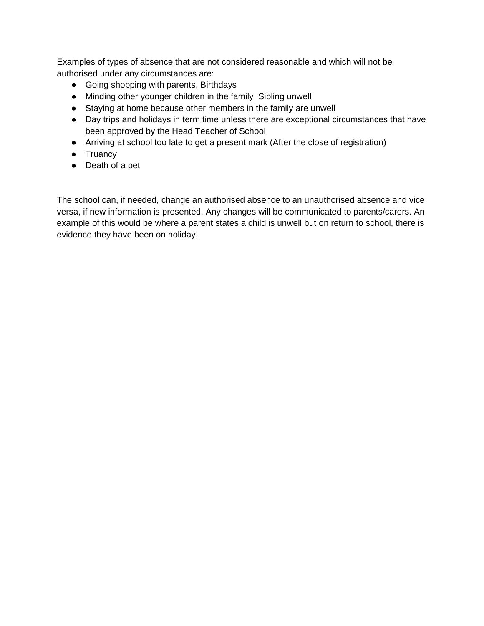Examples of types of absence that are not considered reasonable and which will not be authorised under any circumstances are:

- Going shopping with parents, Birthdays
- Minding other younger children in the family Sibling unwell
- Staying at home because other members in the family are unwell
- Day trips and holidays in term time unless there are exceptional circumstances that have been approved by the Head Teacher of School
- Arriving at school too late to get a present mark (After the close of registration)
- Truancy
- Death of a pet

The school can, if needed, change an authorised absence to an unauthorised absence and vice versa, if new information is presented. Any changes will be communicated to parents/carers. An example of this would be where a parent states a child is unwell but on return to school, there is evidence they have been on holiday.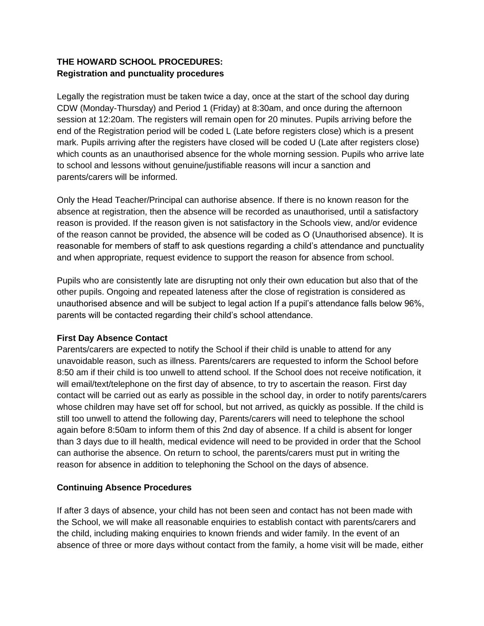# **THE HOWARD SCHOOL PROCEDURES: Registration and punctuality procedures**

Legally the registration must be taken twice a day, once at the start of the school day during CDW (Monday-Thursday) and Period 1 (Friday) at 8:30am, and once during the afternoon session at 12:20am. The registers will remain open for 20 minutes. Pupils arriving before the end of the Registration period will be coded L (Late before registers close) which is a present mark. Pupils arriving after the registers have closed will be coded U (Late after registers close) which counts as an unauthorised absence for the whole morning session. Pupils who arrive late to school and lessons without genuine/justifiable reasons will incur a sanction and parents/carers will be informed.

Only the Head Teacher/Principal can authorise absence. If there is no known reason for the absence at registration, then the absence will be recorded as unauthorised, until a satisfactory reason is provided. If the reason given is not satisfactory in the Schools view, and/or evidence of the reason cannot be provided, the absence will be coded as O (Unauthorised absence). It is reasonable for members of staff to ask questions regarding a child's attendance and punctuality and when appropriate, request evidence to support the reason for absence from school.

Pupils who are consistently late are disrupting not only their own education but also that of the other pupils. Ongoing and repeated lateness after the close of registration is considered as unauthorised absence and will be subject to legal action If a pupil's attendance falls below 96%, parents will be contacted regarding their child's school attendance.

# **First Day Absence Contact**

Parents/carers are expected to notify the School if their child is unable to attend for any unavoidable reason, such as illness. Parents/carers are requested to inform the School before 8:50 am if their child is too unwell to attend school. If the School does not receive notification, it will email/text/telephone on the first day of absence, to try to ascertain the reason. First day contact will be carried out as early as possible in the school day, in order to notify parents/carers whose children may have set off for school, but not arrived, as quickly as possible. If the child is still too unwell to attend the following day, Parents/carers will need to telephone the school again before 8:50am to inform them of this 2nd day of absence. If a child is absent for longer than 3 days due to ill health, medical evidence will need to be provided in order that the School can authorise the absence. On return to school, the parents/carers must put in writing the reason for absence in addition to telephoning the School on the days of absence.

# **Continuing Absence Procedures**

If after 3 days of absence, your child has not been seen and contact has not been made with the School, we will make all reasonable enquiries to establish contact with parents/carers and the child, including making enquiries to known friends and wider family. In the event of an absence of three or more days without contact from the family, a home visit will be made, either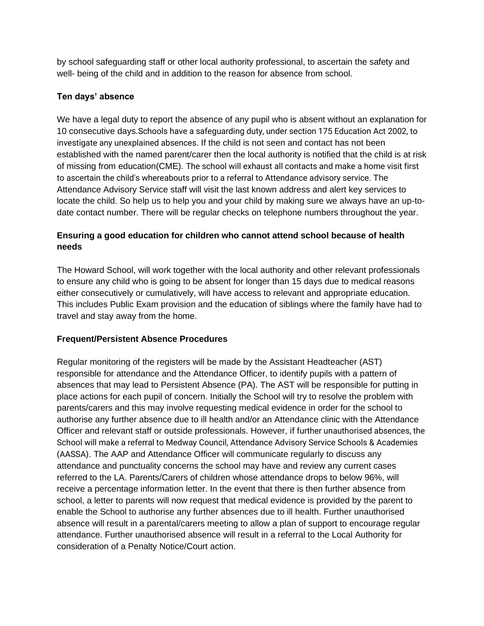by school safeguarding staff or other local authority professional, to ascertain the safety and well- being of the child and in addition to the reason for absence from school.

# **Ten days' absence**

We have a legal duty to report the absence of any pupil who is absent without an explanation for 10 consecutive days.Schools have a safeguarding duty, under section 175 Education Act 2002, to investigate any unexplained absences. If the child is not seen and contact has not been established with the named parent/carer then the local authority is notified that the child is at risk of missing from education(CME). The school will exhaust all contacts and make a home visit first to ascertain the child's whereabouts prior to a referral to Attendance advisory service. The Attendance Advisory Service staff will visit the last known address and alert key services to locate the child. So help us to help you and your child by making sure we always have an up-todate contact number. There will be regular checks on telephone numbers throughout the year.

# **Ensuring a good education for children who cannot attend school because of health needs**

The Howard School, will work together with the local authority and other relevant professionals to ensure any child who is going to be absent for longer than 15 days due to medical reasons either consecutively or cumulatively, will have access to relevant and appropriate education. This includes Public Exam provision and the education of siblings where the family have had to travel and stay away from the home.

# **Frequent/Persistent Absence Procedures**

Regular monitoring of the registers will be made by the Assistant Headteacher (AST) responsible for attendance and the Attendance Officer, to identify pupils with a pattern of absences that may lead to Persistent Absence (PA). The AST will be responsible for putting in place actions for each pupil of concern. Initially the School will try to resolve the problem with parents/carers and this may involve requesting medical evidence in order for the school to authorise any further absence due to ill health and/or an Attendance clinic with the Attendance Officer and relevant staff or outside professionals. However, if further unauthorised absences, the School will make a referral to Medway Council, Attendance Advisory Service Schools & Academies (AASSA). The AAP and Attendance Officer will communicate regularly to discuss any attendance and punctuality concerns the school may have and review any current cases referred to the LA. Parents/Carers of children whose attendance drops to below 96%, will receive a percentage information letter. In the event that there is then further absence from school, a letter to parents will now request that medical evidence is provided by the parent to enable the School to authorise any further absences due to ill health. Further unauthorised absence will result in a parental/carers meeting to allow a plan of support to encourage regular attendance. Further unauthorised absence will result in a referral to the Local Authority for consideration of a Penalty Notice/Court action.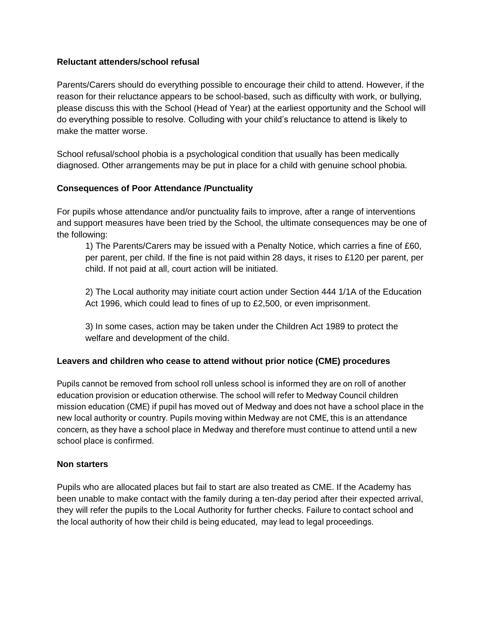#### **Reluctant attenders/school refusal**

Parents/Carers should do everything possible to encourage their child to attend. However, if the reason for their reluctance appears to be school-based, such as difficulty with work, or bullying, please discuss this with the School (Head of Year) at the earliest opportunity and the School will do everything possible to resolve. Colluding with your child's reluctance to attend is likely to make the matter worse.

School refusal/school phobia is a psychological condition that usually has been medically diagnosed. Other arrangements may be put in place for a child with genuine school phobia.

#### **Consequences of Poor Attendance /Punctuality**

For pupils whose attendance and/or punctuality fails to improve, after a range of interventions and support measures have been tried by the School, the ultimate consequences may be one of the following:

1) The Parents/Carers may be issued with a Penalty Notice, which carries a fine of £60, per parent, per child. If the fine is not paid within 28 days, it rises to £120 per parent, per child. If not paid at all, court action will be initiated.

2) The Local authority may initiate court action under Section 444 1/1A of the Education Act 1996, which could lead to fines of up to £2,500, or even imprisonment.

3) In some cases, action may be taken under the Children Act 1989 to protect the welfare and development of the child.

#### **Leavers and children who cease to attend without prior notice (CME) procedures**

Pupils cannot be removed from school roll unless school is informed they are on roll of another education provision or education otherwise. The school will refer to Medway Council children mission education (CME) if pupil has moved out of Medway and does not have a school place in the new local authority or country. Pupils moving within Medway are not CME, this is an attendance concern, as they have a school place in Medway and therefore must continue to attend until a new school place is confirmed.

#### **Non starters**

Pupils who are allocated places but fail to start are also treated as CME. If the Academy has been unable to make contact with the family during a ten-day period after their expected arrival, they will refer the pupils to the Local Authority for further checks. Failure to contact school and the local authority of how their child is being educated, may lead to legal proceedings.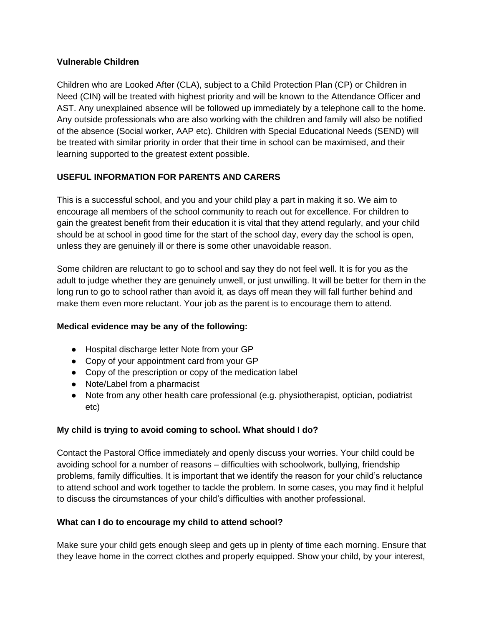## **Vulnerable Children**

Children who are Looked After (CLA), subject to a Child Protection Plan (CP) or Children in Need (CIN) will be treated with highest priority and will be known to the Attendance Officer and AST. Any unexplained absence will be followed up immediately by a telephone call to the home. Any outside professionals who are also working with the children and family will also be notified of the absence (Social worker, AAP etc). Children with Special Educational Needs (SEND) will be treated with similar priority in order that their time in school can be maximised, and their learning supported to the greatest extent possible.

# **USEFUL INFORMATION FOR PARENTS AND CARERS**

This is a successful school, and you and your child play a part in making it so. We aim to encourage all members of the school community to reach out for excellence. For children to gain the greatest benefit from their education it is vital that they attend regularly, and your child should be at school in good time for the start of the school day, every day the school is open, unless they are genuinely ill or there is some other unavoidable reason.

Some children are reluctant to go to school and say they do not feel well. It is for you as the adult to judge whether they are genuinely unwell, or just unwilling. It will be better for them in the long run to go to school rather than avoid it, as days off mean they will fall further behind and make them even more reluctant. Your job as the parent is to encourage them to attend.

# **Medical evidence may be any of the following:**

- Hospital discharge letter Note from your GP
- Copy of your appointment card from your GP
- Copy of the prescription or copy of the medication label
- Note/Label from a pharmacist
- Note from any other health care professional (e.g. physiotherapist, optician, podiatrist etc)

# **My child is trying to avoid coming to school. What should I do?**

Contact the Pastoral Office immediately and openly discuss your worries. Your child could be avoiding school for a number of reasons – difficulties with schoolwork, bullying, friendship problems, family difficulties. It is important that we identify the reason for your child's reluctance to attend school and work together to tackle the problem. In some cases, you may find it helpful to discuss the circumstances of your child's difficulties with another professional.

# **What can I do to encourage my child to attend school?**

Make sure your child gets enough sleep and gets up in plenty of time each morning. Ensure that they leave home in the correct clothes and properly equipped. Show your child, by your interest,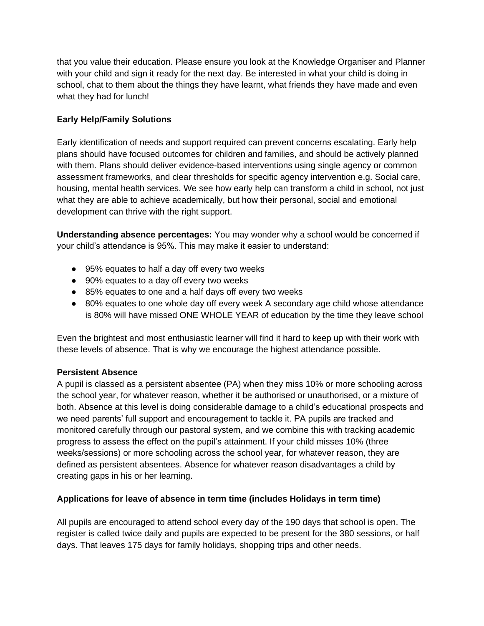that you value their education. Please ensure you look at the Knowledge Organiser and Planner with your child and sign it ready for the next day. Be interested in what your child is doing in school, chat to them about the things they have learnt, what friends they have made and even what they had for lunch!

# **Early Help/Family Solutions**

Early identification of needs and support required can prevent concerns escalating. Early help plans should have focused outcomes for children and families, and should be actively planned with them. Plans should deliver evidence-based interventions using single agency or common assessment frameworks, and clear thresholds for specific agency intervention e.g. Social care, housing, mental health services. We see how early help can transform a child in school, not just what they are able to achieve academically, but how their personal, social and emotional development can thrive with the right support.

**Understanding absence percentages:** You may wonder why a school would be concerned if your child's attendance is 95%. This may make it easier to understand:

- 95% equates to half a day off every two weeks
- 90% equates to a day off every two weeks
- 85% equates to one and a half days off every two weeks
- 80% equates to one whole day off every week A secondary age child whose attendance is 80% will have missed ONE WHOLE YEAR of education by the time they leave school

Even the brightest and most enthusiastic learner will find it hard to keep up with their work with these levels of absence. That is why we encourage the highest attendance possible.

# **Persistent Absence**

A pupil is classed as a persistent absentee (PA) when they miss 10% or more schooling across the school year, for whatever reason, whether it be authorised or unauthorised, or a mixture of both. Absence at this level is doing considerable damage to a child's educational prospects and we need parents' full support and encouragement to tackle it. PA pupils are tracked and monitored carefully through our pastoral system, and we combine this with tracking academic progress to assess the effect on the pupil's attainment. If your child misses 10% (three weeks/sessions) or more schooling across the school year, for whatever reason, they are defined as persistent absentees. Absence for whatever reason disadvantages a child by creating gaps in his or her learning.

# **Applications for leave of absence in term time (includes Holidays in term time)**

All pupils are encouraged to attend school every day of the 190 days that school is open. The register is called twice daily and pupils are expected to be present for the 380 sessions, or half days. That leaves 175 days for family holidays, shopping trips and other needs.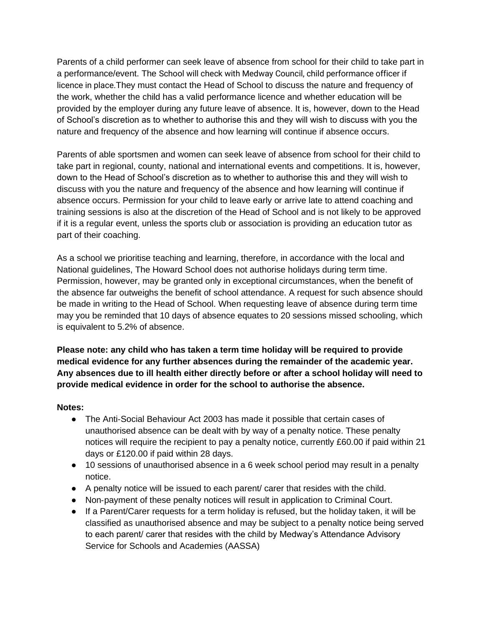Parents of a child performer can seek leave of absence from school for their child to take part in a performance/event. The School will check with Medway Council, child performance officer if licence in place.They must contact the Head of School to discuss the nature and frequency of the work, whether the child has a valid performance licence and whether education will be provided by the employer during any future leave of absence. It is, however, down to the Head of School's discretion as to whether to authorise this and they will wish to discuss with you the nature and frequency of the absence and how learning will continue if absence occurs.

Parents of able sportsmen and women can seek leave of absence from school for their child to take part in regional, county, national and international events and competitions. It is, however, down to the Head of School's discretion as to whether to authorise this and they will wish to discuss with you the nature and frequency of the absence and how learning will continue if absence occurs. Permission for your child to leave early or arrive late to attend coaching and training sessions is also at the discretion of the Head of School and is not likely to be approved if it is a regular event, unless the sports club or association is providing an education tutor as part of their coaching.

As a school we prioritise teaching and learning, therefore, in accordance with the local and National guidelines, The Howard School does not authorise holidays during term time. Permission, however, may be granted only in exceptional circumstances, when the benefit of the absence far outweighs the benefit of school attendance. A request for such absence should be made in writing to the Head of School. When requesting leave of absence during term time may you be reminded that 10 days of absence equates to 20 sessions missed schooling, which is equivalent to 5.2% of absence.

**Please note: any child who has taken a term time holiday will be required to provide medical evidence for any further absences during the remainder of the academic year. Any absences due to ill health either directly before or after a school holiday will need to provide medical evidence in order for the school to authorise the absence.** 

#### **Notes:**

- The Anti-Social Behaviour Act 2003 has made it possible that certain cases of unauthorised absence can be dealt with by way of a penalty notice. These penalty notices will require the recipient to pay a penalty notice, currently £60.00 if paid within 21 days or £120.00 if paid within 28 days.
- 10 sessions of unauthorised absence in a 6 week school period may result in a penalty notice.
- A penalty notice will be issued to each parent/ carer that resides with the child.
- Non-payment of these penalty notices will result in application to Criminal Court.
- If a Parent/Carer requests for a term holiday is refused, but the holiday taken, it will be classified as unauthorised absence and may be subject to a penalty notice being served to each parent/ carer that resides with the child by Medway's Attendance Advisory Service for Schools and Academies (AASSA)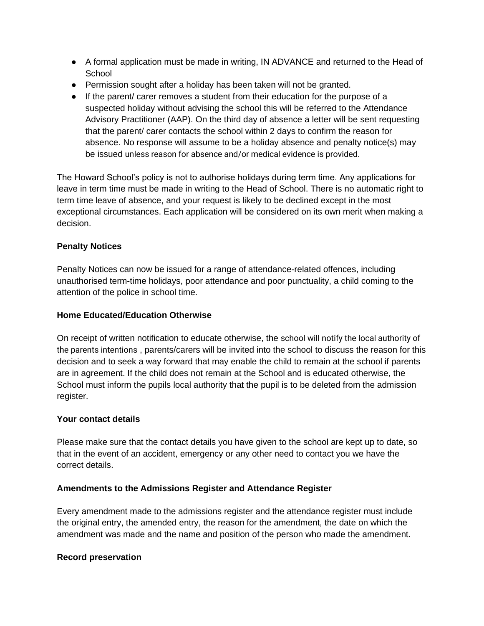- A formal application must be made in writing, IN ADVANCE and returned to the Head of **School**
- Permission sought after a holiday has been taken will not be granted.
- If the parent/ carer removes a student from their education for the purpose of a suspected holiday without advising the school this will be referred to the Attendance Advisory Practitioner (AAP). On the third day of absence a letter will be sent requesting that the parent/ carer contacts the school within 2 days to confirm the reason for absence. No response will assume to be a holiday absence and penalty notice(s) may be issued unless reason for absence and/or medical evidence is provided.

The Howard School's policy is not to authorise holidays during term time. Any applications for leave in term time must be made in writing to the Head of School. There is no automatic right to term time leave of absence, and your request is likely to be declined except in the most exceptional circumstances. Each application will be considered on its own merit when making a decision.

#### **Penalty Notices**

Penalty Notices can now be issued for a range of attendance-related offences, including unauthorised term-time holidays, poor attendance and poor punctuality, a child coming to the attention of the police in school time.

# **Home Educated/Education Otherwise**

On receipt of written notification to educate otherwise, the school will notify the local authority of the parents intentions , parents/carers will be invited into the school to discuss the reason for this decision and to seek a way forward that may enable the child to remain at the school if parents are in agreement. If the child does not remain at the School and is educated otherwise, the School must inform the pupils local authority that the pupil is to be deleted from the admission register.

# **Your contact details**

Please make sure that the contact details you have given to the school are kept up to date, so that in the event of an accident, emergency or any other need to contact you we have the correct details.

#### **Amendments to the Admissions Register and Attendance Register**

Every amendment made to the admissions register and the attendance register must include the original entry, the amended entry, the reason for the amendment, the date on which the amendment was made and the name and position of the person who made the amendment.

#### **Record preservation**